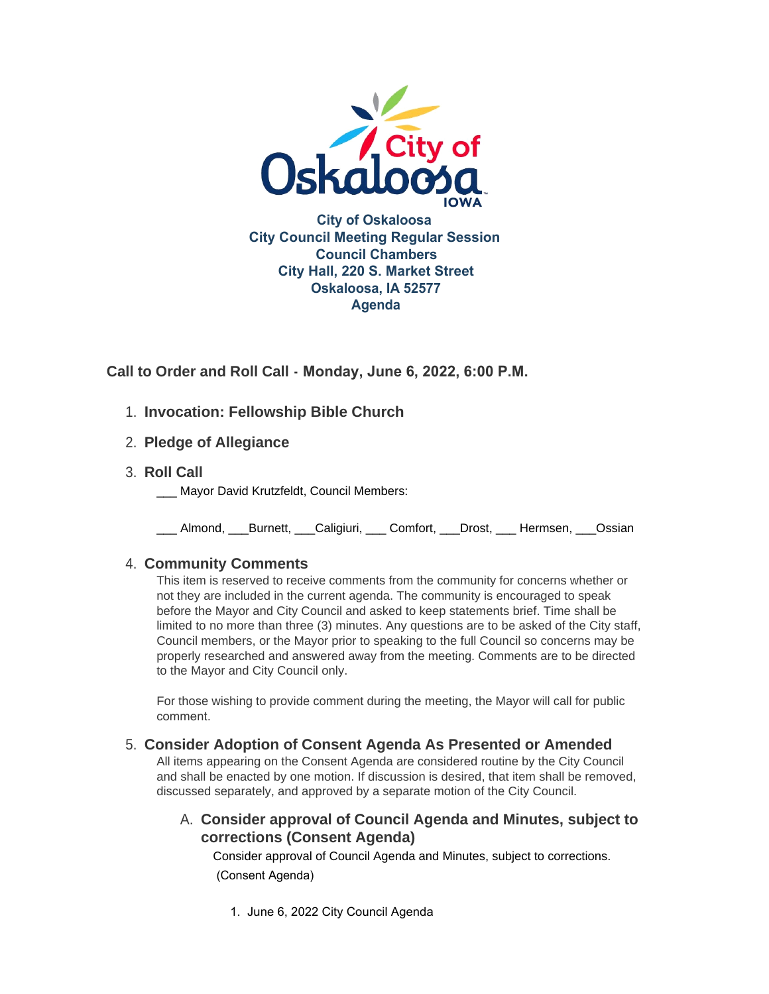

**Call to Order and Roll Call - Monday, June 6, 2022, 6:00 P.M.** 

- **Invocation: Fellowship Bible Church** 1.
- **Pledge of Allegiance** 2.
- **Roll Call** 3.
	- Mayor David Krutzfeldt, Council Members:

\_\_\_ Almond, \_\_\_Burnett, \_\_\_Caligiuri, \_\_\_ Comfort, \_\_\_Drost, \_\_\_ Hermsen, \_\_\_Ossian

## **Community Comments** 4.

This item is reserved to receive comments from the community for concerns whether or not they are included in the current agenda. The community is encouraged to speak before the Mayor and City Council and asked to keep statements brief. Time shall be limited to no more than three (3) minutes. Any questions are to be asked of the City staff, Council members, or the Mayor prior to speaking to the full Council so concerns may be properly researched and answered away from the meeting. Comments are to be directed to the Mayor and City Council only.

For those wishing to provide comment during the meeting, the Mayor will call for public comment.

## **Consider Adoption of Consent Agenda As Presented or Amended** 5.

All items appearing on the Consent Agenda are considered routine by the City Council and shall be enacted by one motion. If discussion is desired, that item shall be removed, discussed separately, and approved by a separate motion of the City Council.

# **Consider approval of Council Agenda and Minutes, subject to**  A. **corrections (Consent Agenda)**

Consider approval of Council Agenda and Minutes, subject to corrections. (Consent Agenda)

1. June 6, 2022 City Council Agenda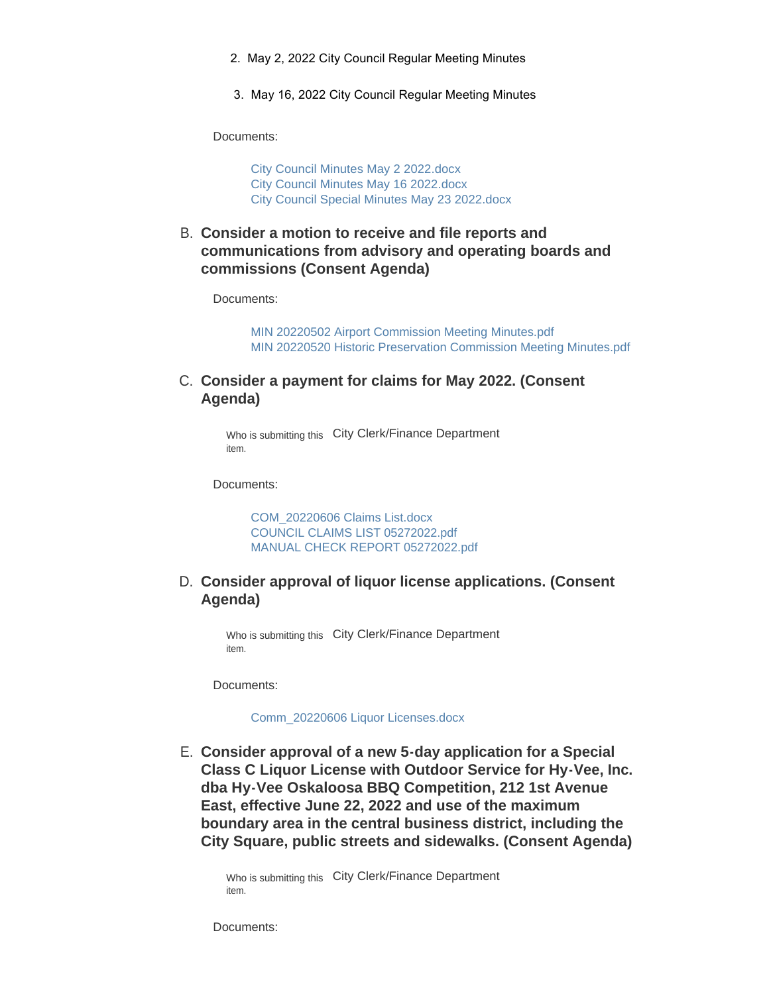- 2. May 2, 2022 City Council Regular Meeting Minutes
- 3. May 16, 2022 City Council Regular Meeting Minutes

Documents:

[City Council Minutes May 2 2022.docx](https://www.oskaloosaiowa.org/AgendaCenter/ViewFile/Item/10231?fileID=26776) [City Council Minutes May 16 2022.docx](https://www.oskaloosaiowa.org/AgendaCenter/ViewFile/Item/10231?fileID=26777) [City Council Special Minutes May 23 2022.docx](https://www.oskaloosaiowa.org/AgendaCenter/ViewFile/Item/10231?fileID=26778)

**Consider a motion to receive and file reports and**  B. **communications from advisory and operating boards and commissions (Consent Agenda)**

Documents:

[MIN 20220502 Airport Commission Meeting Minutes.pdf](https://www.oskaloosaiowa.org/AgendaCenter/ViewFile/Item/10232?fileID=26779) [MIN 20220520 Historic Preservation Commission Meeting Minutes.pdf](https://www.oskaloosaiowa.org/AgendaCenter/ViewFile/Item/10232?fileID=26780)

C. Consider a payment for claims for May 2022. (Consent **Agenda)**

> Who is submitting this City Clerk/Finance Department item.

Documents:

[COM\\_20220606 Claims List.docx](https://www.oskaloosaiowa.org/AgendaCenter/ViewFile/Item/10205?fileID=26701) [COUNCIL CLAIMS LIST 05272022.pdf](https://www.oskaloosaiowa.org/AgendaCenter/ViewFile/Item/10205?fileID=26755) [MANUAL CHECK REPORT 05272022.pdf](https://www.oskaloosaiowa.org/AgendaCenter/ViewFile/Item/10205?fileID=26756)

#### **Consider approval of liquor license applications. (Consent**  D. **Agenda)**

Who is submitting this City Clerk/Finance Department item.

Documents:

[Comm\\_20220606 Liquor Licenses.docx](https://www.oskaloosaiowa.org/AgendaCenter/ViewFile/Item/10206?fileID=26721)

**Consider approval of a new 5-day application for a Special**  E. **Class C Liquor License with Outdoor Service for Hy-Vee, Inc. dba Hy-Vee Oskaloosa BBQ Competition, 212 1st Avenue East, effective June 22, 2022 and use of the maximum boundary area in the central business district, including the City Square, public streets and sidewalks. (Consent Agenda)**

Who is submitting this City Clerk/Finance Department item.

Documents: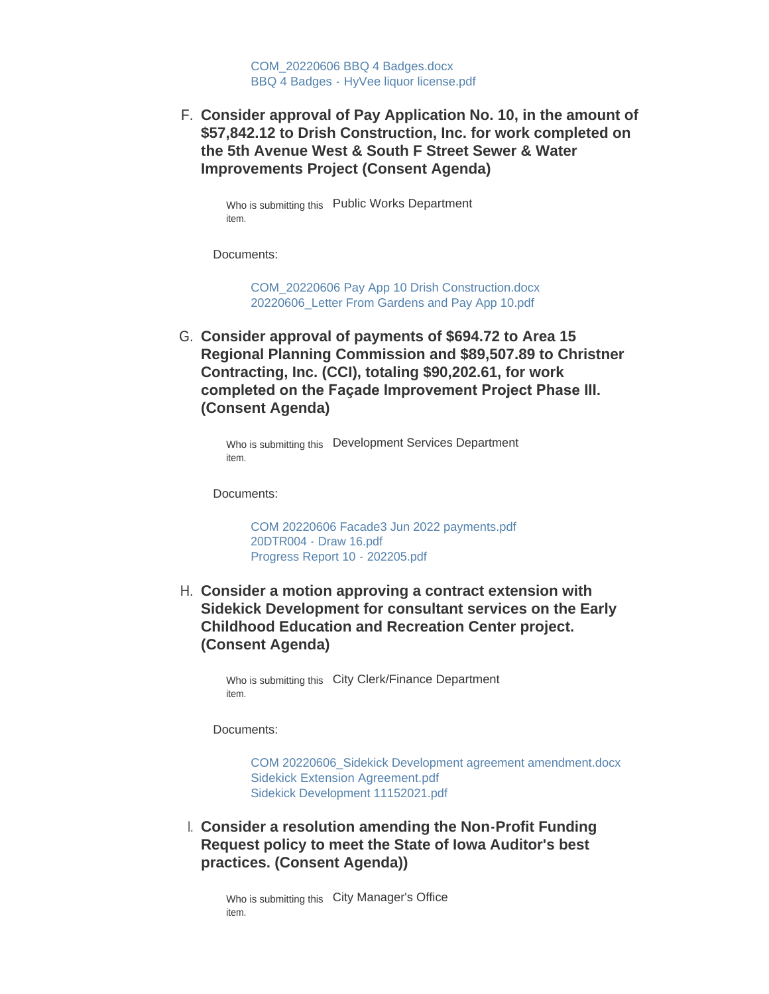[COM\\_20220606 BBQ 4 Badges.docx](https://www.oskaloosaiowa.org/AgendaCenter/ViewFile/Item/10221?fileID=26760) BBQ 4 Badges - [HyVee liquor license.pdf](https://www.oskaloosaiowa.org/AgendaCenter/ViewFile/Item/10221?fileID=26761)

**Consider approval of Pay Application No. 10, in the amount of**  F. **\$57,842.12 to Drish Construction, Inc. for work completed on the 5th Avenue West & South F Street Sewer & Water Improvements Project (Consent Agenda)**

Who is submitting this Public Works Department item.

Documents:

[COM\\_20220606 Pay App 10 Drish Construction.docx](https://www.oskaloosaiowa.org/AgendaCenter/ViewFile/Item/10223?fileID=26768) [20220606\\_Letter From Gardens and Pay App 10.pdf](https://www.oskaloosaiowa.org/AgendaCenter/ViewFile/Item/10223?fileID=26769)

**Consider approval of payments of \$694.72 to Area 15**  G. **Regional Planning Commission and \$89,507.89 to Christner Contracting, Inc. (CCI), totaling \$90,202.61, for work completed on the Façade Improvement Project Phase III. (Consent Agenda)**

> Who is submitting this Development Services Department item.

Documents:

[COM 20220606 Facade3 Jun 2022 payments.pdf](https://www.oskaloosaiowa.org/AgendaCenter/ViewFile/Item/9995?fileID=26715) [20DTR004 - Draw 16.pdf](https://www.oskaloosaiowa.org/AgendaCenter/ViewFile/Item/9995?fileID=26714) [Progress Report 10 - 202205.pdf](https://www.oskaloosaiowa.org/AgendaCenter/ViewFile/Item/9995?fileID=26716)

**Consider a motion approving a contract extension with**  H. **Sidekick Development for consultant services on the Early Childhood Education and Recreation Center project. (Consent Agenda)**

> Who is submitting this City Clerk/Finance Department item.

Documents:

[COM 20220606\\_Sidekick Development agreement amendment.docx](https://www.oskaloosaiowa.org/AgendaCenter/ViewFile/Item/10208?fileID=26709) [Sidekick Extension Agreement.pdf](https://www.oskaloosaiowa.org/AgendaCenter/ViewFile/Item/10208?fileID=26706) [Sidekick Development 11152021.pdf](https://www.oskaloosaiowa.org/AgendaCenter/ViewFile/Item/10208?fileID=26707)

**Consider a resolution amending the Non-Profit Funding**  I. **Request policy to meet the State of Iowa Auditor's best practices. (Consent Agenda))**

Who is submitting this City Manager's Office item.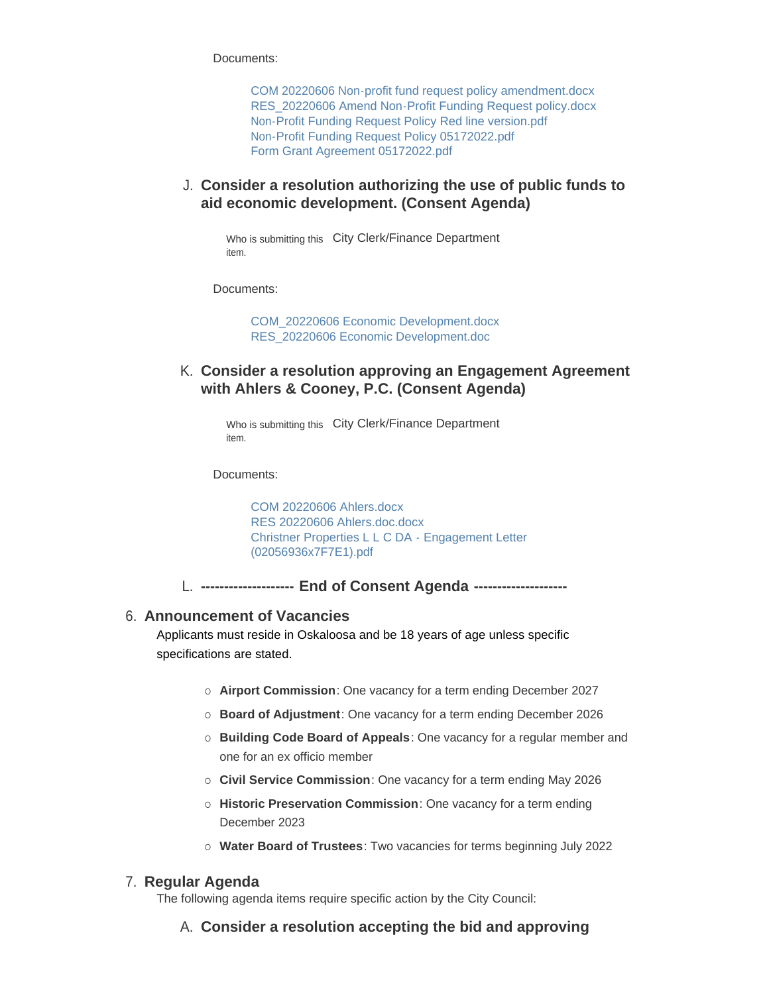Documents:

[COM 20220606 Non-profit fund request policy amendment.docx](https://www.oskaloosaiowa.org/AgendaCenter/ViewFile/Item/10204?fileID=26727) [RES\\_20220606 Amend Non-Profit Funding Request policy.docx](https://www.oskaloosaiowa.org/AgendaCenter/ViewFile/Item/10204?fileID=26728) [Non-Profit Funding Request Policy Red line version.pdf](https://www.oskaloosaiowa.org/AgendaCenter/ViewFile/Item/10204?fileID=26698) [Non-Profit Funding Request Policy 05172022.pdf](https://www.oskaloosaiowa.org/AgendaCenter/ViewFile/Item/10204?fileID=26699) [Form Grant Agreement 05172022.pdf](https://www.oskaloosaiowa.org/AgendaCenter/ViewFile/Item/10204?fileID=26700)

### **Consider a resolution authorizing the use of public funds to**  J. **aid economic development. (Consent Agenda)**

Who is submitting this City Clerk/Finance Department item.

Documents:

[COM\\_20220606 Economic Development.docx](https://www.oskaloosaiowa.org/AgendaCenter/ViewFile/Item/10207?fileID=26702) [RES\\_20220606 Economic Development.doc](https://www.oskaloosaiowa.org/AgendaCenter/ViewFile/Item/10207?fileID=26703)

**Consider a resolution approving an Engagement Agreement**  K. **with Ahlers & Cooney, P.C. (Consent Agenda)**

> Who is submitting this City Clerk/Finance Department item.

Documents:

[COM 20220606 Ahlers.docx](https://www.oskaloosaiowa.org/AgendaCenter/ViewFile/Item/10219?fileID=26718) [RES 20220606 Ahlers.doc.docx](https://www.oskaloosaiowa.org/AgendaCenter/ViewFile/Item/10219?fileID=26719) [Christner Properties L L C DA - Engagement Letter](https://www.oskaloosaiowa.org/AgendaCenter/ViewFile/Item/10219?fileID=26720)  (02056936x7F7E1).pdf

**-------------------- End of Consent Agenda --------------------** L.

#### **Announcement of Vacancies** 6.

Applicants must reside in Oskaloosa and be 18 years of age unless specific specifications are stated.

- ¡ **Airport Commission**: One vacancy for a term ending December 2027
- ¡ **Board of Adjustment**: One vacancy for a term ending December 2026
- ¡ **Building Code Board of Appeals**: One vacancy for a regular member and one for an ex officio member
- ¡ **Civil Service Commission**: One vacancy for a term ending May 2026
- ¡ **Historic Preservation Commission**: One vacancy for a term ending December 2023
- ¡ **Water Board of Trustees**: Two vacancies for terms beginning July 2022

#### **Regular Agenda** 7.

The following agenda items require specific action by the City Council:

**Consider a resolution accepting the bid and approving**  A.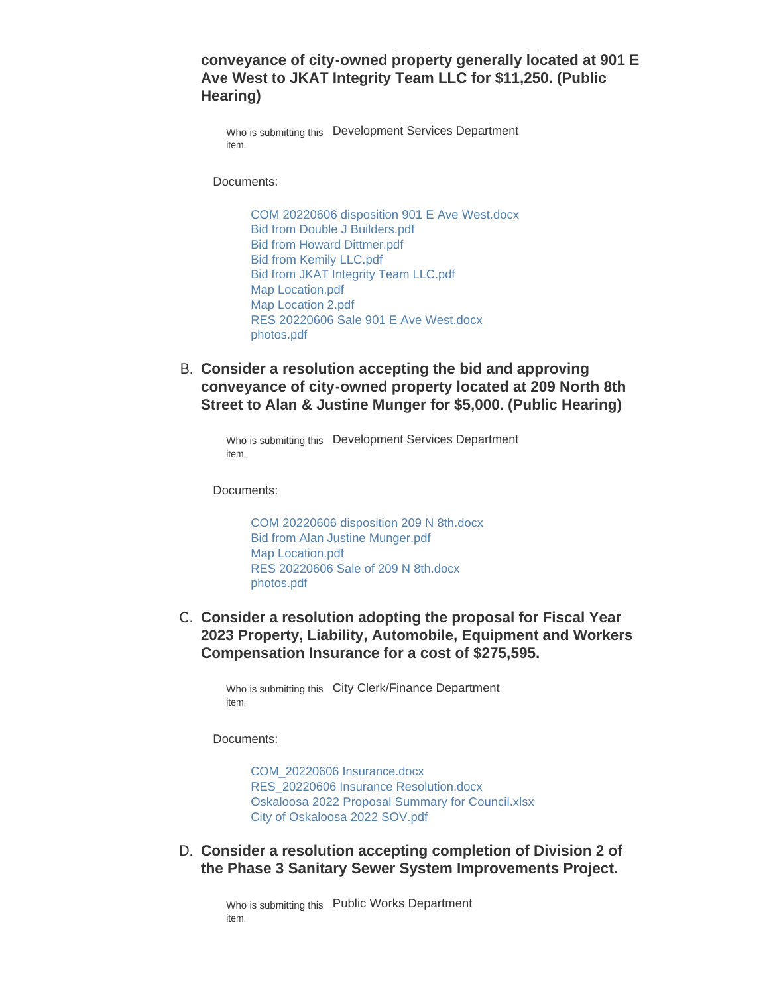### **conveyance of city-owned property generally located at 901 E Ave West to JKAT Integrity Team LLC for \$11,250. (Public Hearing)**

**Consider a resolution accepting the bid and approving** 

Who is submitting this Development Services Department item.

Documents:

[COM 20220606 disposition 901 E Ave West.docx](https://www.oskaloosaiowa.org/AgendaCenter/ViewFile/Item/10188?fileID=26738) [Bid from Double J Builders.pdf](https://www.oskaloosaiowa.org/AgendaCenter/ViewFile/Item/10188?fileID=26734) [Bid from Howard Dittmer.pdf](https://www.oskaloosaiowa.org/AgendaCenter/ViewFile/Item/10188?fileID=26735) [Bid from Kemily LLC.pdf](https://www.oskaloosaiowa.org/AgendaCenter/ViewFile/Item/10188?fileID=26737) [Bid from JKAT Integrity Team LLC.pdf](https://www.oskaloosaiowa.org/AgendaCenter/ViewFile/Item/10188?fileID=26736) [Map Location.pdf](https://www.oskaloosaiowa.org/AgendaCenter/ViewFile/Item/10188?fileID=26740) [Map Location 2.pdf](https://www.oskaloosaiowa.org/AgendaCenter/ViewFile/Item/10188?fileID=26739) [RES 20220606 Sale 901 E Ave West.docx](https://www.oskaloosaiowa.org/AgendaCenter/ViewFile/Item/10188?fileID=26742) [photos.pdf](https://www.oskaloosaiowa.org/AgendaCenter/ViewFile/Item/10188?fileID=26741)

**Consider a resolution accepting the bid and approving**  B. **conveyance of city-owned property located at 209 North 8th Street to Alan & Justine Munger for \$5,000. (Public Hearing)**

Who is submitting this Development Services Department item.

Documents:

[COM 20220606 disposition 209 N 8th.docx](https://www.oskaloosaiowa.org/AgendaCenter/ViewFile/Item/10187?fileID=26729) [Bid from Alan Justine Munger.pdf](https://www.oskaloosaiowa.org/AgendaCenter/ViewFile/Item/10187?fileID=26733) [Map Location.pdf](https://www.oskaloosaiowa.org/AgendaCenter/ViewFile/Item/10187?fileID=26730) [RES 20220606 Sale of 209 N 8th.docx](https://www.oskaloosaiowa.org/AgendaCenter/ViewFile/Item/10187?fileID=26732) [photos.pdf](https://www.oskaloosaiowa.org/AgendaCenter/ViewFile/Item/10187?fileID=26731)

**C. Consider a resolution adopting the proposal for Fiscal Year 2023 Property, Liability, Automobile, Equipment and Workers Compensation Insurance for a cost of \$275,595.**

> Who is submitting this City Clerk/Finance Department item.

Documents:

[COM\\_20220606 Insurance.docx](https://www.oskaloosaiowa.org/AgendaCenter/ViewFile/Item/10225?fileID=26783) [RES\\_20220606 Insurance Resolution.docx](https://www.oskaloosaiowa.org/AgendaCenter/ViewFile/Item/10225?fileID=26775) [Oskaloosa 2022 Proposal Summary for Council.xlsx](https://www.oskaloosaiowa.org/AgendaCenter/ViewFile/Item/10225?fileID=26782) [City of Oskaloosa 2022 SOV.pdf](https://www.oskaloosaiowa.org/AgendaCenter/ViewFile/Item/10225?fileID=26781)

**Consider a resolution accepting completion of Division 2 of**  D. **the Phase 3 Sanitary Sewer System Improvements Project.**

> Who is submitting this Public Works Department item.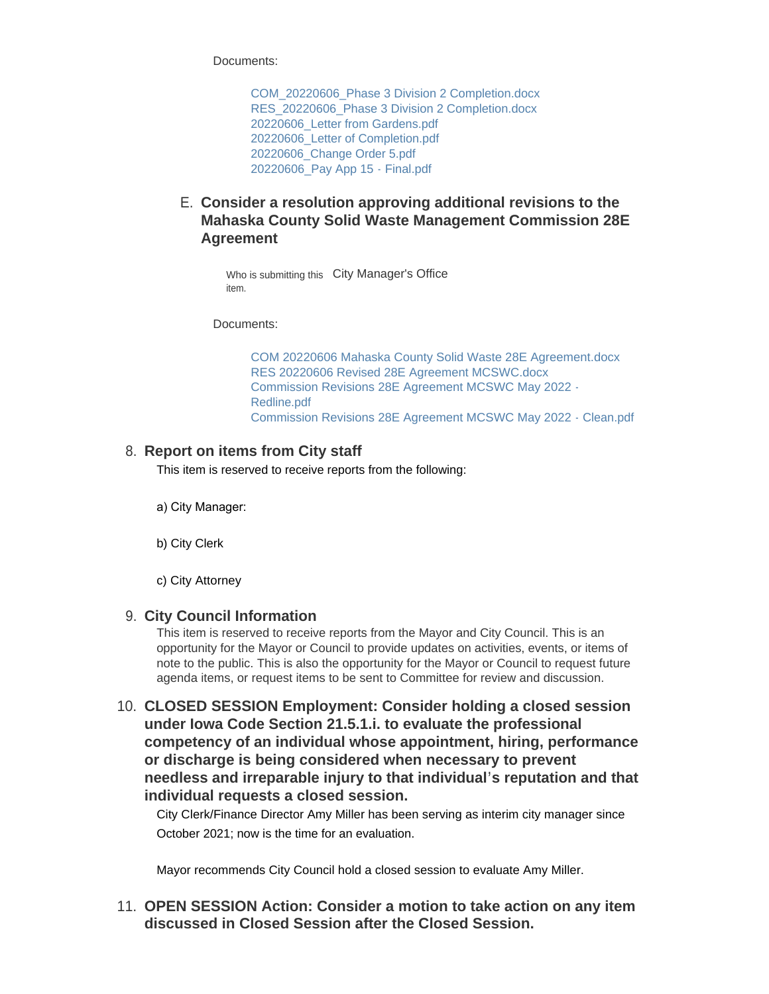Documents:

[COM\\_20220606\\_Phase 3 Division 2 Completion.docx](https://www.oskaloosaiowa.org/AgendaCenter/ViewFile/Item/10222?fileID=26762) RES 20220606 Phase 3 Division 2 Completion.docx [20220606\\_Letter from Gardens.pdf](https://www.oskaloosaiowa.org/AgendaCenter/ViewFile/Item/10222?fileID=26764) [20220606\\_Letter of Completion.pdf](https://www.oskaloosaiowa.org/AgendaCenter/ViewFile/Item/10222?fileID=26765) [20220606\\_Change Order 5.pdf](https://www.oskaloosaiowa.org/AgendaCenter/ViewFile/Item/10222?fileID=26766) [20220606\\_Pay App 15 - Final.pdf](https://www.oskaloosaiowa.org/AgendaCenter/ViewFile/Item/10222?fileID=26767)

## **Consider a resolution approving additional revisions to the**  E. **Mahaska County Solid Waste Management Commission 28E Agreement**

Who is submitting this City Manager's Office item.

Documents:

[COM 20220606 Mahaska County Solid Waste 28E Agreement.docx](https://www.oskaloosaiowa.org/AgendaCenter/ViewFile/Item/10224?fileID=26770) [RES 20220606 Revised 28E Agreement MCSWC.docx](https://www.oskaloosaiowa.org/AgendaCenter/ViewFile/Item/10224?fileID=26771) [Commission Revisions 28E Agreement MCSWC May 2022 -](https://www.oskaloosaiowa.org/AgendaCenter/ViewFile/Item/10224?fileID=26772) Redline.pdf [Commission Revisions 28E Agreement MCSWC May 2022 - Clean.pdf](https://www.oskaloosaiowa.org/AgendaCenter/ViewFile/Item/10224?fileID=26773)

### **Report on items from City staff** 8.

This item is reserved to receive reports from the following:

a) City Manager:

b) City Clerk

c) City Attorney

### **City Council Information** 9.

This item is reserved to receive reports from the Mayor and City Council. This is an opportunity for the Mayor or Council to provide updates on activities, events, or items of note to the public. This is also the opportunity for the Mayor or Council to request future agenda items, or request items to be sent to Committee for review and discussion.

**CLOSED SESSION Employment: Consider holding a closed session**  10. **under Iowa Code Section 21.5.1.i. to evaluate the professional competency of an individual whose appointment, hiring, performance or discharge is being considered when necessary to prevent needless and irreparable injury to that individual's reputation and that individual requests a closed session.**

City Clerk/Finance Director Amy Miller has been serving as interim city manager since October 2021; now is the time for an evaluation.

Mayor recommends City Council hold a closed session to evaluate Amy Miller.

**OPEN SESSION Action: Consider a motion to take action on any item**  11. **discussed in Closed Session after the Closed Session.**